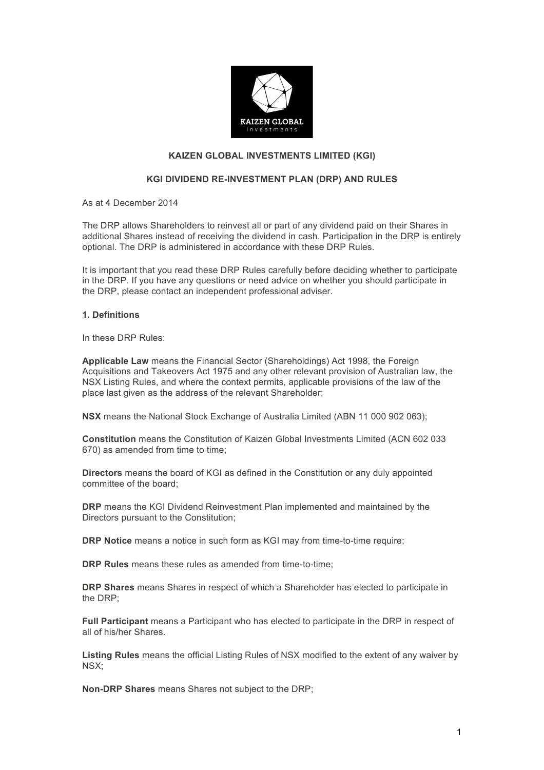

# **KAIZEN GLOBAL INVESTMENTS LIMITED (KGI)**

## **KGI DIVIDEND RE-INVESTMENT PLAN (DRP) AND RULES**

As at 4 December 2014

The DRP allows Shareholders to reinvest all or part of any dividend paid on their Shares in additional Shares instead of receiving the dividend in cash. Participation in the DRP is entirely optional. The DRP is administered in accordance with these DRP Rules.

It is important that you read these DRP Rules carefully before deciding whether to participate in the DRP. If you have any questions or need advice on whether you should participate in the DRP, please contact an independent professional adviser.

### **1. Definitions**

In these DRP Rules:

**Applicable Law** means the Financial Sector (Shareholdings) Act 1998, the Foreign Acquisitions and Takeovers Act 1975 and any other relevant provision of Australian law, the NSX Listing Rules, and where the context permits, applicable provisions of the law of the place last given as the address of the relevant Shareholder;

**NSX** means the National Stock Exchange of Australia Limited (ABN 11 000 902 063);

**Constitution** means the Constitution of Kaizen Global Investments Limited (ACN 602 033 670) as amended from time to time;

**Directors** means the board of KGI as defined in the Constitution or any duly appointed committee of the board;

**DRP** means the KGI Dividend Reinvestment Plan implemented and maintained by the Directors pursuant to the Constitution;

**DRP Notice** means a notice in such form as KGI may from time-to-time require;

**DRP Rules** means these rules as amended from time-to-time;

**DRP Shares** means Shares in respect of which a Shareholder has elected to participate in the DRP;

**Full Participant** means a Participant who has elected to participate in the DRP in respect of all of his/her Shares.

**Listing Rules** means the official Listing Rules of NSX modified to the extent of any waiver by NSX;

**Non-DRP Shares** means Shares not subject to the DRP;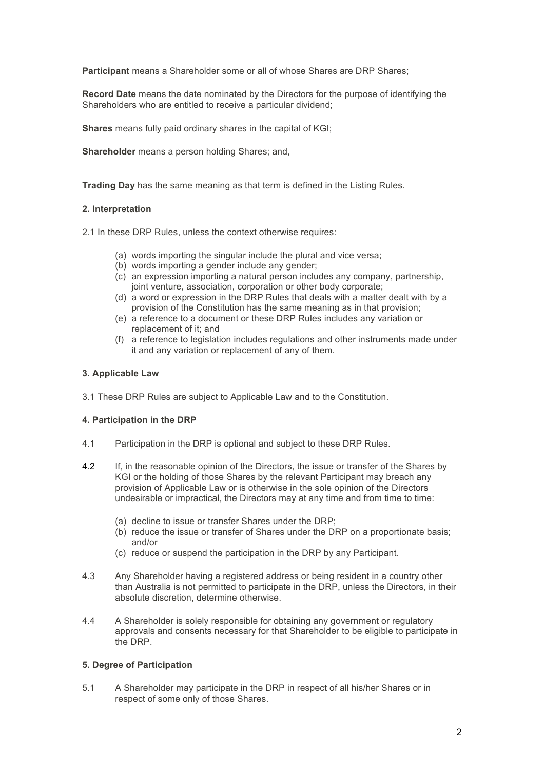**Participant** means a Shareholder some or all of whose Shares are DRP Shares;

**Record Date** means the date nominated by the Directors for the purpose of identifying the Shareholders who are entitled to receive a particular dividend;

**Shares** means fully paid ordinary shares in the capital of KGI;

**Shareholder** means a person holding Shares; and,

**Trading Day** has the same meaning as that term is defined in the Listing Rules.

#### **2. Interpretation**

2.1 In these DRP Rules, unless the context otherwise requires:

- (a) words importing the singular include the plural and vice versa;
- (b) words importing a gender include any gender;
- (c) an expression importing a natural person includes any company, partnership, joint venture, association, corporation or other body corporate;
- (d) a word or expression in the DRP Rules that deals with a matter dealt with by a provision of the Constitution has the same meaning as in that provision;
- (e) a reference to a document or these DRP Rules includes any variation or replacement of it; and
- (f) a reference to legislation includes regulations and other instruments made under it and any variation or replacement of any of them.

#### **3. Applicable Law**

3.1 These DRP Rules are subject to Applicable Law and to the Constitution.

#### **4. Participation in the DRP**

- 4.1 Participation in the DRP is optional and subject to these DRP Rules.
- 4.2 If, in the reasonable opinion of the Directors, the issue or transfer of the Shares by KGI or the holding of those Shares by the relevant Participant may breach any provision of Applicable Law or is otherwise in the sole opinion of the Directors undesirable or impractical, the Directors may at any time and from time to time:
	- (a) decline to issue or transfer Shares under the DRP;
	- (b) reduce the issue or transfer of Shares under the DRP on a proportionate basis; and/or
	- (c) reduce or suspend the participation in the DRP by any Participant.
- 4.3 Any Shareholder having a registered address or being resident in a country other than Australia is not permitted to participate in the DRP, unless the Directors, in their absolute discretion, determine otherwise.
- 4.4 A Shareholder is solely responsible for obtaining any government or regulatory approvals and consents necessary for that Shareholder to be eligible to participate in the DRP.

# **5. Degree of Participation**

5.1 A Shareholder may participate in the DRP in respect of all his/her Shares or in respect of some only of those Shares.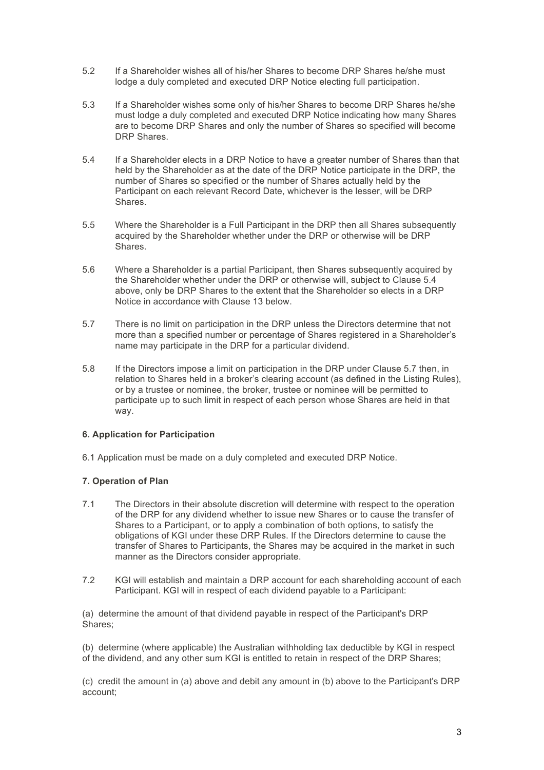- 5.2 If a Shareholder wishes all of his/her Shares to become DRP Shares he/she must lodge a duly completed and executed DRP Notice electing full participation.
- 5.3 If a Shareholder wishes some only of his/her Shares to become DRP Shares he/she must lodge a duly completed and executed DRP Notice indicating how many Shares are to become DRP Shares and only the number of Shares so specified will become DRP Shares.
- 5.4 If a Shareholder elects in a DRP Notice to have a greater number of Shares than that held by the Shareholder as at the date of the DRP Notice participate in the DRP, the number of Shares so specified or the number of Shares actually held by the Participant on each relevant Record Date, whichever is the lesser, will be DRP Shares.
- 5.5 Where the Shareholder is a Full Participant in the DRP then all Shares subsequently acquired by the Shareholder whether under the DRP or otherwise will be DRP Shares.
- 5.6 Where a Shareholder is a partial Participant, then Shares subsequently acquired by the Shareholder whether under the DRP or otherwise will, subject to Clause 5.4 above, only be DRP Shares to the extent that the Shareholder so elects in a DRP Notice in accordance with Clause 13 below.
- 5.7 There is no limit on participation in the DRP unless the Directors determine that not more than a specified number or percentage of Shares registered in a Shareholder's name may participate in the DRP for a particular dividend.
- 5.8 If the Directors impose a limit on participation in the DRP under Clause 5.7 then, in relation to Shares held in a broker's clearing account (as defined in the Listing Rules), or by a trustee or nominee, the broker, trustee or nominee will be permitted to participate up to such limit in respect of each person whose Shares are held in that way.

# **6. Application for Participation**

6.1 Application must be made on a duly completed and executed DRP Notice.

# **7. Operation of Plan**

- 7.1 The Directors in their absolute discretion will determine with respect to the operation of the DRP for any dividend whether to issue new Shares or to cause the transfer of Shares to a Participant, or to apply a combination of both options, to satisfy the obligations of KGI under these DRP Rules. If the Directors determine to cause the transfer of Shares to Participants, the Shares may be acquired in the market in such manner as the Directors consider appropriate.
- 7.2 KGI will establish and maintain a DRP account for each shareholding account of each Participant. KGI will in respect of each dividend payable to a Participant:

(a) determine the amount of that dividend payable in respect of the Participant's DRP Shares;

(b) determine (where applicable) the Australian withholding tax deductible by KGI in respect of the dividend, and any other sum KGI is entitled to retain in respect of the DRP Shares;

(c) credit the amount in (a) above and debit any amount in (b) above to the Participant's DRP account;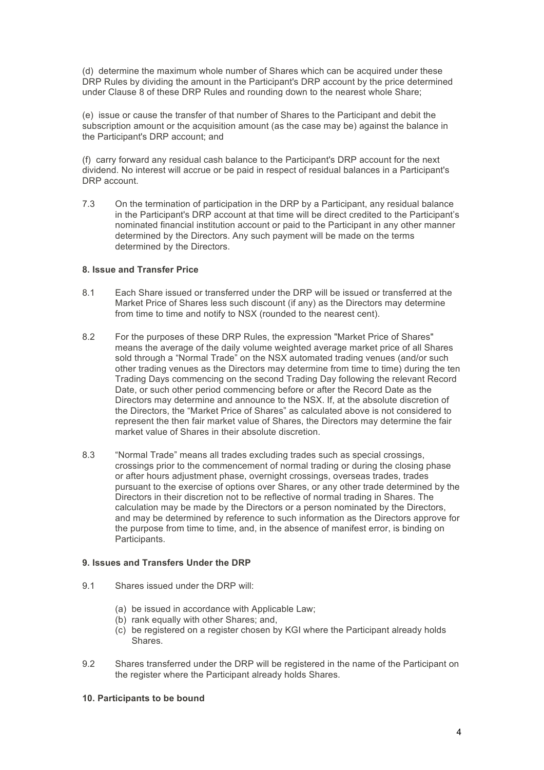(d) determine the maximum whole number of Shares which can be acquired under these DRP Rules by dividing the amount in the Participant's DRP account by the price determined under Clause 8 of these DRP Rules and rounding down to the nearest whole Share;

(e) issue or cause the transfer of that number of Shares to the Participant and debit the subscription amount or the acquisition amount (as the case may be) against the balance in the Participant's DRP account; and

(f) carry forward any residual cash balance to the Participant's DRP account for the next dividend. No interest will accrue or be paid in respect of residual balances in a Participant's DRP account.

7.3 On the termination of participation in the DRP by a Participant, any residual balance in the Participant's DRP account at that time will be direct credited to the Participant's nominated financial institution account or paid to the Participant in any other manner determined by the Directors. Any such payment will be made on the terms determined by the Directors.

## **8. Issue and Transfer Price**

- 8.1 Each Share issued or transferred under the DRP will be issued or transferred at the Market Price of Shares less such discount (if any) as the Directors may determine from time to time and notify to NSX (rounded to the nearest cent).
- 8.2 For the purposes of these DRP Rules, the expression "Market Price of Shares" means the average of the daily volume weighted average market price of all Shares sold through a "Normal Trade" on the NSX automated trading venues (and/or such other trading venues as the Directors may determine from time to time) during the ten Trading Days commencing on the second Trading Day following the relevant Record Date, or such other period commencing before or after the Record Date as the Directors may determine and announce to the NSX. If, at the absolute discretion of the Directors, the "Market Price of Shares" as calculated above is not considered to represent the then fair market value of Shares, the Directors may determine the fair market value of Shares in their absolute discretion.
- 8.3 "Normal Trade" means all trades excluding trades such as special crossings, crossings prior to the commencement of normal trading or during the closing phase or after hours adjustment phase, overnight crossings, overseas trades, trades pursuant to the exercise of options over Shares, or any other trade determined by the Directors in their discretion not to be reflective of normal trading in Shares. The calculation may be made by the Directors or a person nominated by the Directors, and may be determined by reference to such information as the Directors approve for the purpose from time to time, and, in the absence of manifest error, is binding on Participants.

#### **9. Issues and Transfers Under the DRP**

- 9.1 Shares issued under the DRP will:
	- (a) be issued in accordance with Applicable Law;
	- (b) rank equally with other Shares; and,
	- (c) be registered on a register chosen by KGI where the Participant already holds Shares.
- 9.2 Shares transferred under the DRP will be registered in the name of the Participant on the register where the Participant already holds Shares.

# **10. Participants to be bound**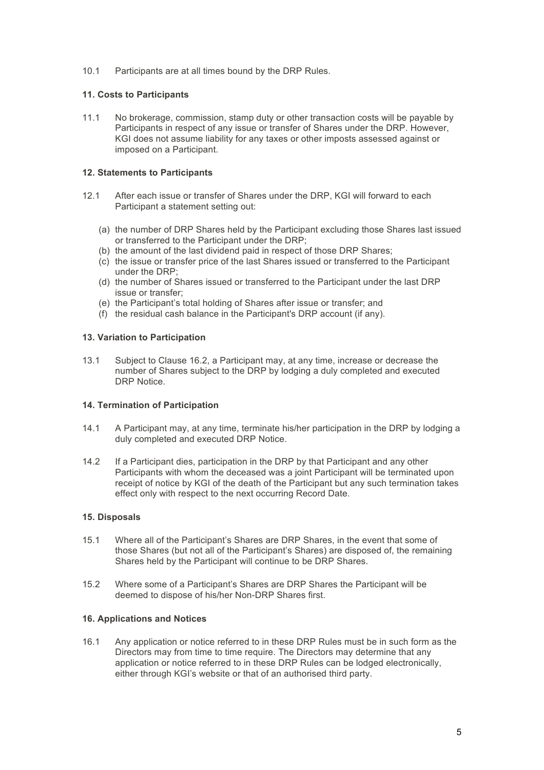10.1 Participants are at all times bound by the DRP Rules.

# **11. Costs to Participants**

11.1 No brokerage, commission, stamp duty or other transaction costs will be payable by Participants in respect of any issue or transfer of Shares under the DRP. However, KGI does not assume liability for any taxes or other imposts assessed against or imposed on a Participant.

## **12. Statements to Participants**

- 12.1 After each issue or transfer of Shares under the DRP, KGI will forward to each Participant a statement setting out:
	- (a) the number of DRP Shares held by the Participant excluding those Shares last issued or transferred to the Participant under the DRP;
	- (b) the amount of the last dividend paid in respect of those DRP Shares;
	- (c) the issue or transfer price of the last Shares issued or transferred to the Participant under the DRP;
	- (d) the number of Shares issued or transferred to the Participant under the last DRP issue or transfer;
	- (e) the Participant's total holding of Shares after issue or transfer; and
	- (f) the residual cash balance in the Participant's DRP account (if any).

## **13. Variation to Participation**

13.1 Subject to Clause 16.2, a Participant may, at any time, increase or decrease the number of Shares subject to the DRP by lodging a duly completed and executed DRP Notice.

## **14. Termination of Participation**

- 14.1 A Participant may, at any time, terminate his/her participation in the DRP by lodging a duly completed and executed DRP Notice.
- 14.2 If a Participant dies, participation in the DRP by that Participant and any other Participants with whom the deceased was a joint Participant will be terminated upon receipt of notice by KGI of the death of the Participant but any such termination takes effect only with respect to the next occurring Record Date.

#### **15. Disposals**

- 15.1 Where all of the Participant's Shares are DRP Shares, in the event that some of those Shares (but not all of the Participant's Shares) are disposed of, the remaining Shares held by the Participant will continue to be DRP Shares.
- 15.2 Where some of a Participant's Shares are DRP Shares the Participant will be deemed to dispose of his/her Non-DRP Shares first.

#### **16. Applications and Notices**

16.1 Any application or notice referred to in these DRP Rules must be in such form as the Directors may from time to time require. The Directors may determine that any application or notice referred to in these DRP Rules can be lodged electronically, either through KGI's website or that of an authorised third party.